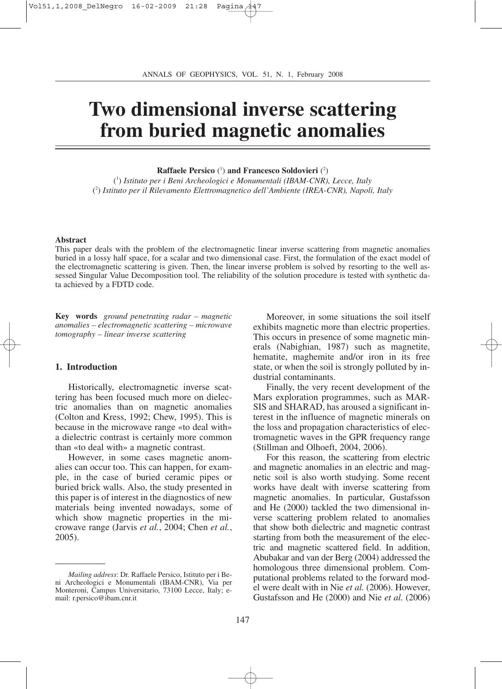# **Two dimensional inverse scattering from buried magnetic anomalies**

**Raffaele Persico** ( 1 ) **and Francesco Soldovieri** ( 2 )

( 1 ) *Istituto per i Beni Archeologici e Monumentali (IBAM-CNR), Lecce, Italy* ( 2 ) *Istituto per il Rilevamento Elettromagnetico dell'Ambiente (IREA-CNR), Napoli, Italy*

#### **Abstract**

This paper deals with the problem of the electromagnetic linear inverse scattering from magnetic anomalies buried in a lossy half space, for a scalar and two dimensional case. First, the formulation of the exact model of the electromagnetic scattering is given. Then, the linear inverse problem is solved by resorting to the well assessed Singular Value Decomposition tool. The reliability of the solution procedure is tested with synthetic data achieved by a FDTD code.

**Key words** *ground penetrating radar – magnetic anomalies – electromagnetic scattering – microwave tomography – linear inverse scattering* 

## **1. Introduction**

Historically, electromagnetic inverse scattering has been focused much more on dielectric anomalies than on magnetic anomalies (Colton and Kress, 1992; Chew, 1995). This is because in the microwave range «to deal with» a dielectric contrast is certainly more common than «to deal with» a magnetic contrast.

However, in some cases magnetic anomalies can occur too. This can happen, for example, in the case of buried ceramic pipes or buried brick walls. Also, the study presented in this paper is of interest in the diagnostics of new materials being invented nowadays, some of which show magnetic properties in the microwave range (Jarvis *et al.*, 2004; Chen *et al.*, 2005).

Moreover, in some situations the soil itself exhibits magnetic more than electric properties. This occurs in presence of some magnetic minerals (Nabighian, 1987) such as magnetite, hematite, maghemite and/or iron in its free state, or when the soil is strongly polluted by industrial contaminants.

Finally, the very recent development of the Mars exploration programmes, such as MAR-SIS and SHARAD, has aroused a significant interest in the influence of magnetic minerals on the loss and propagation characteristics of electromagnetic waves in the GPR frequency range (Stillman and Olhoeft, 2004, 2006).

For this reason, the scattering from electric and magnetic anomalies in an electric and magnetic soil is also worth studying. Some recent works have dealt with inverse scattering from magnetic anomalies. In particular, Gustafsson and He (2000) tackled the two dimensional inverse scattering problem related to anomalies that show both dielectric and magnetic contrast starting from both the measurement of the electric and magnetic scattered field. In addition, Abubakar and van der Berg (2004) addressed the homologous three dimensional problem. Computational problems related to the forward model were dealt with in Nie *et al.* (2006). However, Gustafsson and He (2000) and Nie *et al.* (2006)

*Mailing address*: Dr. Raffaele Persico, Istituto per i Beni Archeologici e Monumentali (IBAM-CNR), Via per Monteroni, Campus Universitario, 73100 Lecce, Italy; email: r.persico@ibam.cnr.it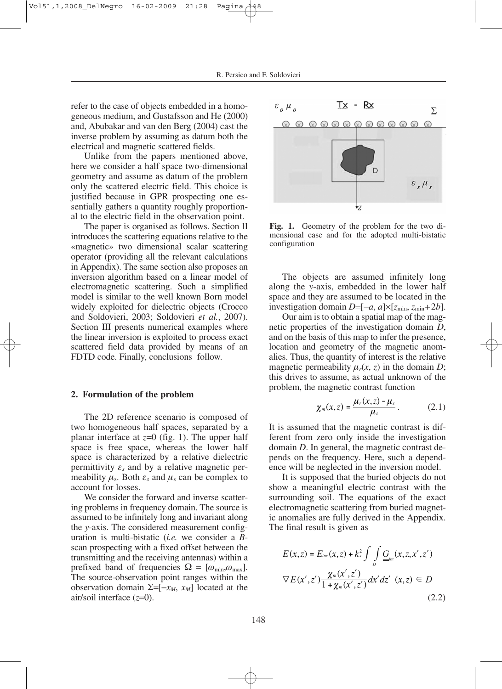refer to the case of objects embedded in a homogeneous medium, and Gustafsson and He (2000) and, Abubakar and van den Berg (2004) cast the inverse problem by assuming as datum both the electrical and magnetic scattered fields.

Unlike from the papers mentioned above, here we consider a half space two-dimensional geometry and assume as datum of the problem only the scattered electric field. This choice is justified because in GPR prospecting one essentially gathers a quantity roughly proportional to the electric field in the observation point.

The paper is organised as follows. Section II introduces the scattering equations relative to the «magnetic» two dimensional scalar scattering operator (providing all the relevant calculations in Appendix). The same section also proposes an inversion algorithm based on a linear model of electromagnetic scattering. Such a simplified model is similar to the well known Born model widely exploited for dielectric objects (Crocco and Soldovieri, 2003; Soldovieri *et al.*, 2007). Section III presents numerical examples where the linear inversion is exploited to process exact scattered field data provided by means of an FDTD code. Finally, conclusions follow.

#### **2. Formulation of the problem**

The 2D reference scenario is composed of two homogeneous half spaces, separated by a planar interface at  $z=0$  (fig. 1). The upper half space is free space, whereas the lower half space is characterized by a relative dielectric permittivity  $\varepsilon_s$  and by a relative magnetic permeability  $\mu_s$ . Both  $\varepsilon_s$  and  $\mu_s$  can be complex to account for losses.

We consider the forward and inverse scattering problems in frequency domain. The source is assumed to be infinitely long and invariant along the *y*-axis. The considered measurement configuration is multi-bistatic (*i.e.* we consider a *B*scan prospecting with a fixed offset between the transmitting and the receiving antennas) within a prefixed band of frequencies  $\Omega = [\omega_{\min}, \omega_{\max}]$ . The source-observation point ranges within the observation domain  $\Sigma = [-x_M, x_M]$  located at the air/soil interface (*z*=0).



**Fig. 1.** Geometry of the problem for the two dimensional case and for the adopted multi-bistatic configuration

The objects are assumed infinitely long along the *y*-axis, embedded in the lower half space and they are assumed to be located in the investigation domain *D*=[−*a*, *a*]×[*z*min, *z*min+2*b*].

Our aim is to obtain a spatial map of the magnetic properties of the investigation domain *D*, and on the basis of this map to infer the presence, location and geometry of the magnetic anomalies. Thus, the quantity of interest is the relative magnetic permeability  $\mu_r(x, z)$  in the domain *D*; this drives to assume, as actual unknown of the problem, the magnetic contrast function

$$
\chi_m(x,z) = \frac{\mu_r(x,z) - \mu_s}{\mu_s} \,. \tag{2.1}
$$

It is assumed that the magnetic contrast is different from zero only inside the investigation domain *D*. In general, the magnetic contrast depends on the frequency. Here, such a dependence will be neglected in the inversion model.

It is supposed that the buried objects do not show a meaningful electric contrast with the surrounding soil. The equations of the exact electromagnetic scattering from buried magnetic anomalies are fully derived in the Appendix. The final result is given as

$$
E(x, z) = E_{inc}(x, z) + k_s^2 \int \int \limits_{D} \underline{G}_{im}(x, z, x', z')
$$
  

$$
\underline{\nabla}E(x', z') \frac{\chi_m(x', z')}{1 + \chi_m(x', z')} dx' dz' (x, z) \in D
$$
 (2.2)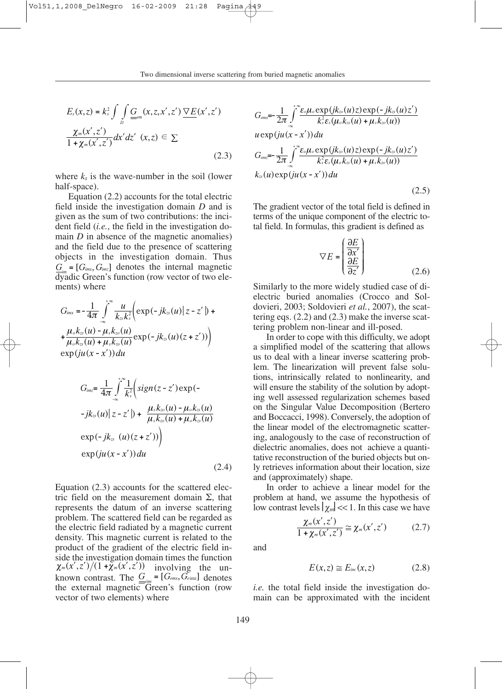$$
E_s(x, z) = k_s^2 \int \int \limits_D \underline{G}_{mm}(x, z, x', z') \, \underline{\nabla} E(x', z')
$$
  

$$
\frac{\chi_m(x', z')}{1 + \chi_m(x', z')} dx' dz' (x, z) \in \Sigma
$$
  
(2.3)

where  $k_s$  is the wave-number in the soil (lower half-space).

Equation (2.2) accounts for the total electric field inside the investigation domain *D* and is given as the sum of two contributions: the incident field (*i.e.*, the field in the investigation domain *D* in absence of the magnetic anomalies) and the field due to the presence of scattering objects in the investigation domain. Thus  $\underline{G}_{m} = [G_{imx}, G_{imz}]$  denotes the internal magnetic  $\overline{d}$ yadic Green's function (row vector of two elements) where

$$
G_{i\mu x} = -\frac{1}{4\pi} \int_{-\infty}^{+\infty} \frac{u}{k_{zs}k_{s}^{2}} \Big( \exp(-jk_{zs}(u)) \Big| z - z' \Big) +
$$
  
+ 
$$
\frac{\mu_{o}k_{zs}(u) - \mu_{s}k_{zo}(u)}{\mu_{o}k_{zs}(u) + \mu_{s}k_{zo}(u)} \exp(-jk_{zs}(u)(z + z')) \Big)
$$
  
exp $(ju(x - x')) du$ 

$$
G_{imz} = \frac{1}{4\pi} \int_{-\infty}^{+\infty} \frac{1}{k_s^2} \left( sign(z - z') \exp(-z') \right)
$$
  
\n
$$
-jk_{ss}(u) | z - z'| + \frac{\mu_s k_{ss}(u) - \mu_o k_{ss}(u)}{\mu_s k_{ss}(u) + \mu_o k_{ss}(u)}
$$
  
\n
$$
\exp(-jk_{ss}(u)(z + z')))
$$
  
\n
$$
\exp(ju(x - x'))du
$$
\n(2.4)

Equation (2.3) accounts for the scattered electric field on the measurement domain  $Σ$ , that represents the datum of an inverse scattering problem. The scattered field can be regarded as the electric field radiated by a magnetic current density. This magnetic current is related to the product of the gradient of the electric field inside the investigation domain times the function  $\chi_m(x',z')/(1+\chi_m(x',z'))$  involving the unknown contrast. The  $G_{\text{min}} = [G_{\text{emx}}, \tilde{G}_{\text{eimz}}]$  denotes the external magnetic Green's function (row vector of two elements) where

$$
G_{emx} = \frac{1}{2\pi} \int_{-\infty}^{\infty} \frac{\varepsilon_o \mu_o \exp(jk_{\infty}(u)z) \exp(-jk_{\infty}(u)z')}{k_s^2 \varepsilon_s(\mu_o k_{\infty}(u) + \mu_s k_{\infty}(u))}
$$
  
\n
$$
u \exp(ju(\bar{x} - x'))du
$$
  
\n
$$
G_{emz} = \frac{1}{2\pi} \int_{-\infty}^{\infty} \frac{\varepsilon_o \mu_o \exp(jk_{\infty}(u)z) \exp(-jk_{\infty}(u)z')}{k_s^2 \varepsilon_s(\mu_o k_{\infty}(u) + \mu_s k_{\infty}(u))}
$$
  
\n
$$
k_{\infty}(u) \exp(ju(x - x'))du
$$
\n(2.5)

The gradient vector of the total field is defined in terms of the unique component of the electric total field. In formulas, this gradient is defined as

$$
\nabla E = \begin{pmatrix} \frac{\partial E}{\partial x'} \\ \frac{\partial E}{\partial z'} \end{pmatrix}
$$
 (2.6)

Similarly to the more widely studied case of dielectric buried anomalies (Crocco and Soldovieri, 2003; Soldovieri *et al.*, 2007), the scattering eqs. (2.2) and (2.3) make the inverse scattering problem non-linear and ill-posed.

In order to cope with this difficulty, we adopt a simplified model of the scattering that allows us to deal with a linear inverse scattering problem. The linearization will prevent false solutions, intrinsically related to nonlinearity, and will ensure the stability of the solution by adopting well assessed regularization schemes based on the Singular Value Decomposition (Bertero and Boccacci, 1998). Conversely, the adoption of the linear model of the electromagnetic scattering, analogously to the case of reconstruction of dielectric anomalies, does not achieve a quantitative reconstruction of the buried objects but only retrieves information about their location, size and (approximately) shape.

In order to achieve a linear model for the problem at hand, we assume the hypothesis of low contrast levels  $|\chi_m| \ll 1$ . In this case we have

$$
\frac{\chi_m(x',z')}{1+\chi_m(x',z')} \cong \chi_m(x',z') \tag{2.7}
$$

and

$$
E(x,z) \cong E_{inc}(x,z) \tag{2.8}
$$

*i.e.* the total field inside the investigation domain can be approximated with the incident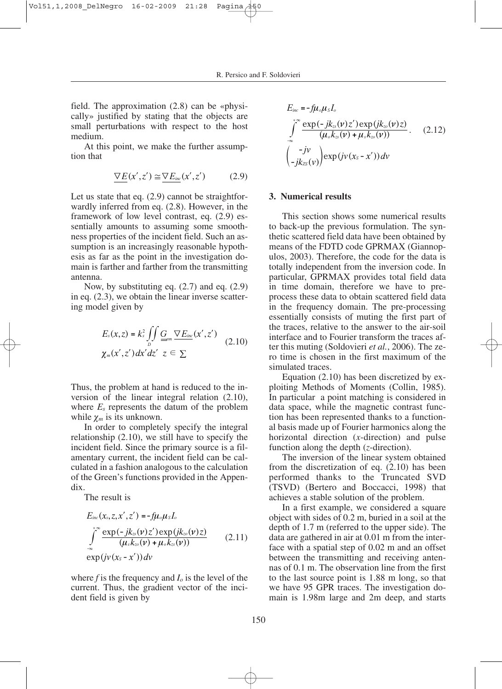field. The approximation (2.8) can be «physically» justified by stating that the objects are small perturbations with respect to the host medium.

At this point, we make the further assumption that

$$
\nabla E(x', z') \cong \nabla E_{inc}(x', z') \tag{2.9}
$$

Let us state that eq. (2.9) cannot be straightforwardly inferred from eq. (2.8). However, in the framework of low level contrast, eq. (2.9) essentially amounts to assuming some smoothness properties of the incident field. Such an assumption is an increasingly reasonable hypothesis as far as the point in the investigation domain is farther and farther from the transmitting antenna.

Now, by substituting eq. (2.7) and eq. (2.9) in eq. (2.3), we obtain the linear inverse scattering model given by

$$
E_s(x,z) = k_s^2 \iint\limits_{D} \underbrace{G}_{z=m} \nabla E_{inc}(x',z') \quad (2.10)
$$
  

$$
\chi_m(x',z') dx' dz' \quad z \in \Sigma
$$

Thus, the problem at hand is reduced to the inversion of the linear integral relation (2.10), where  $E_s$  represents the datum of the problem while χ*<sup>m</sup>* is its unknown.

In order to completely specify the integral relationship (2.10), we still have to specify the incident field. Since the primary source is a filamentary current, the incident field can be calculated in a fashion analogous to the calculation of the Green's functions provided in the Appendix.

The result is

$$
E_{inc}(x_s, z, x', z') = -f\mu_o\mu_s I_o
$$
  

$$
\int_{-\infty}^{+\infty} \frac{\exp(-jk_{cs}(\nu)z') \exp(jk_{cs}(\nu)z)}{(\mu_s k_{cs}(\nu) + \mu_o k_{cs}(\nu))}
$$
 (2.11)  

$$
\exp(j\nu(x_s - x')) dv
$$

where  $f$  is the frequency and  $I<sub>o</sub>$  is the level of the current. Thus, the gradient vector of the incident field is given by

$$
E_{inc} = -f\mu_o\mu_s I_o
$$
  

$$
\int_{-\infty}^{+\infty} \frac{\exp(-jk_{ss}(\nu)z')\exp(jk_{ss}(\nu)z)}{(\mu_o k_{ss}(\nu) + \mu_s k_{ss}(\nu))}.
$$
 (2.12)  

$$
\begin{pmatrix} -jv \\ -jk_{zs}(\nu) \end{pmatrix} \exp(j\nu(x_s - x'))dv
$$

#### **3. Numerical results**

This section shows some numerical results to back-up the previous formulation. The synthetic scattered field data have been obtained by means of the FDTD code GPRMAX (Giannopulos, 2003). Therefore, the code for the data is totally independent from the inversion code. In particular, GPRMAX provides total field data in time domain, therefore we have to preprocess these data to obtain scattered field data in the frequency domain. The pre-processing essentially consists of muting the first part of the traces, relative to the answer to the air-soil interface and to Fourier transform the traces after this muting (Soldovieri *et al.*, 2006). The zero time is chosen in the first maximum of the simulated traces.

Equation (2.10) has been discretized by exploiting Methods of Moments (Collin, 1985). In particular a point matching is considered in data space, while the magnetic contrast function has been represented thanks to a functional basis made up of Fourier harmonics along the horizontal direction (*x*-direction) and pulse function along the depth (*z*-direction).

The inversion of the linear system obtained from the discretization of eq. (2.10) has been performed thanks to the Truncated SVD (TSVD) (Bertero and Boccacci, 1998) that achieves a stable solution of the problem.

In a first example, we considered a square object with sides of 0.2 m, buried in a soil at the depth of 1.7 m (referred to the upper side). The data are gathered in air at 0.01 m from the interface with a spatial step of 0.02 m and an offset between the transmitting and receiving antennas of 0.1 m. The observation line from the first to the last source point is 1.88 m long, so that we have 95 GPR traces. The investigation domain is 1.98m large and 2m deep, and starts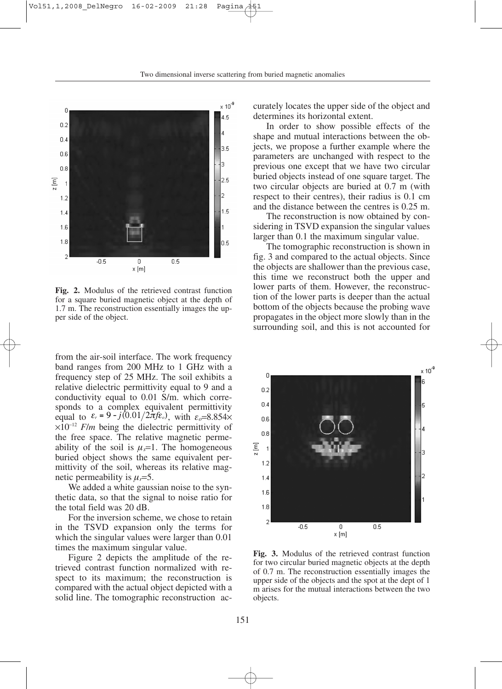

**Fig. 2.** Modulus of the retrieved contrast function for a square buried magnetic object at the depth of 1.7 m. The reconstruction essentially images the upper side of the object.

from the air-soil interface. The work frequency band ranges from 200 MHz to 1 GHz with a frequency step of 25 MHz. The soil exhibits a relative dielectric permittivity equal to 9 and a conductivity equal to 0.01 S/m. which corresponds to a complex equivalent permittivity equal to  $\varepsilon_r = 9 - j(0.01/2\pi f \varepsilon_o)$ , with  $\varepsilon_o = 8.854 \times$ ×10<sup>−</sup><sup>12</sup> *F*/*m* being the dielectric permittivity of the free space. The relative magnetic permeability of the soil is  $\mu_s=1$ . The homogeneous buried object shows the same equivalent permittivity of the soil, whereas its relative magnetic permeability is  $\mu_i = 5$ .

We added a white gaussian noise to the synthetic data, so that the signal to noise ratio for the total field was 20 dB.

For the inversion scheme, we chose to retain in the TSVD expansion only the terms for which the singular values were larger than 0.01 times the maximum singular value.

Figure 2 depicts the amplitude of the retrieved contrast function normalized with respect to its maximum; the reconstruction is compared with the actual object depicted with a solid line. The tomographic reconstruction accurately locates the upper side of the object and determines its horizontal extent.

In order to show possible effects of the shape and mutual interactions between the objects, we propose a further example where the parameters are unchanged with respect to the previous one except that we have two circular buried objects instead of one square target. The two circular objects are buried at 0.7 m (with respect to their centres), their radius is 0.1 cm and the distance between the centres is 0.25 m.

The reconstruction is now obtained by considering in TSVD expansion the singular values larger than 0.1 the maximum singular value.

The tomographic reconstruction is shown in fig. 3 and compared to the actual objects. Since the objects are shallower than the previous case, this time we reconstruct both the upper and lower parts of them. However, the reconstruction of the lower parts is deeper than the actual bottom of the objects because the probing wave propagates in the object more slowly than in the surrounding soil, and this is not accounted for



**Fig. 3.** Modulus of the retrieved contrast function for two circular buried magnetic objects at the depth of 0.7 m. The reconstruction essentially images the upper side of the objects and the spot at the dept of 1 m arises for the mutual interactions between the two objects.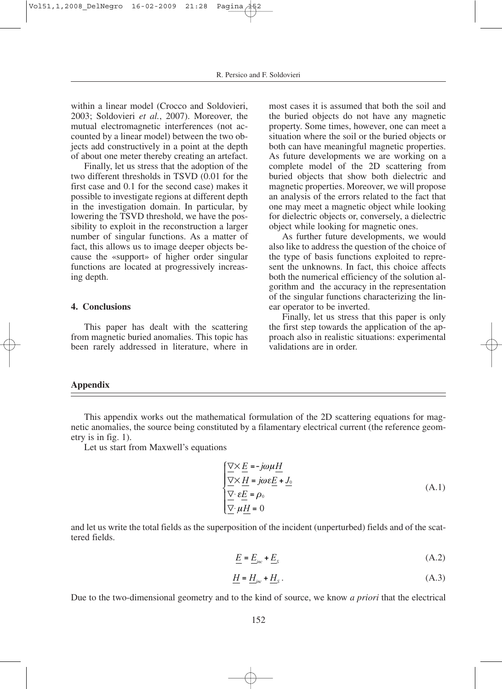within a linear model (Crocco and Soldovieri, 2003; Soldovieri *et al.*, 2007). Moreover, the mutual electromagnetic interferences (not accounted by a linear model) between the two objects add constructively in a point at the depth of about one meter thereby creating an artefact.

Finally, let us stress that the adoption of the two different thresholds in TSVD (0.01 for the first case and 0.1 for the second case) makes it possible to investigate regions at different depth in the investigation domain. In particular, by lowering the TSVD threshold, we have the possibility to exploit in the reconstruction a larger number of singular functions. As a matter of fact, this allows us to image deeper objects because the «support» of higher order singular functions are located at progressively increasing depth.

# **4. Conclusions**

This paper has dealt with the scattering from magnetic buried anomalies. This topic has been rarely addressed in literature, where in

most cases it is assumed that both the soil and the buried objects do not have any magnetic property. Some times, however, one can meet a situation where the soil or the buried objects or both can have meaningful magnetic properties. As future developments we are working on a complete model of the 2D scattering from buried objects that show both dielectric and magnetic properties. Moreover, we will propose an analysis of the errors related to the fact that one may meet a magnetic object while looking for dielectric objects or, conversely, a dielectric object while looking for magnetic ones.

As further future developments, we would also like to address the question of the choice of the type of basis functions exploited to represent the unknowns. In fact, this choice affects both the numerical efficiency of the solution algorithm and the accuracy in the representation of the singular functions characterizing the linear operator to be inverted.

Finally, let us stress that this paper is only the first step towards the application of the approach also in realistic situations: experimental validations are in order.

## **Appendix**

This appendix works out the mathematical formulation of the 2D scattering equations for magnetic anomalies, the source being constituted by a filamentary electrical current (the reference geometry is in fig. 1).

Let us start from Maxwell's equations

$$
\frac{\nabla \times \underline{E} = -j\omega\mu\underline{H}}{\nabla \times \underline{H} = j\omega \varepsilon \underline{E} + \underline{J_0}}\n\tag{A.1}
$$
\n
$$
\frac{\nabla}{\nabla} \cdot \underline{\varepsilon} = \rho_0
$$
\n
$$
\frac{\nabla}{\nu} \mu \underline{H} = 0
$$

and let us write the total fields as the superposition of the incident (unperturbed) fields and of the scattered fields.

$$
\underline{E} = \underline{E}_{inc} + \underline{E}_s \tag{A.2}
$$

$$
\underline{H} = \underline{H}_{\text{inc}} + \underline{H}_{\text{s}} \,. \tag{A.3}
$$

Due to the two-dimensional geometry and to the kind of source, we know *a priori* that the electrical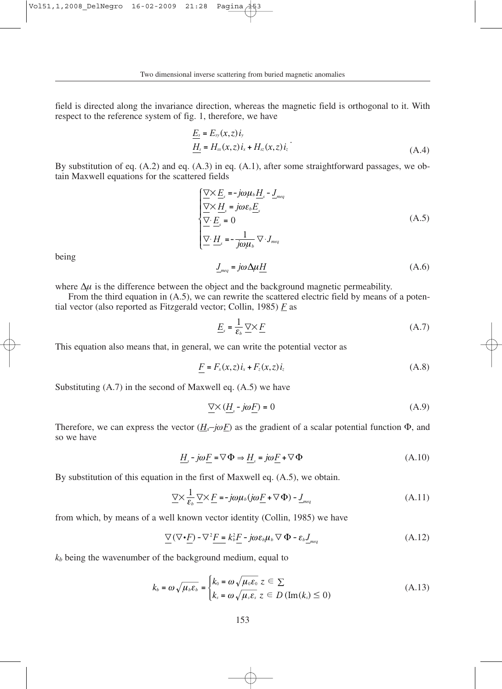field is directed along the invariance direction, whereas the magnetic field is orthogonal to it. With respect to the reference system of fig. 1, therefore, we have

$$
\underline{E_s} = E_{sy}(x, z) i_y
$$
  

$$
\underline{H_s} = H_{xx}(x, z) i_x + H_{xz}(x, z) i_z
$$
 (A.4)

By substitution of eq. (A.2) and eq. (A.3) in eq. (A.1), after some straightforward passages, we obtain Maxwell equations for the scattered fields

$$
\begin{cases}\n\frac{\nabla \times E_s}{\nabla \times H_s} = j\omega \varepsilon_b \underline{H}_s - \underline{J}_{\text{meq}} \\
\frac{\nabla \times H_s}{\nabla \cdot E_s} = 0 \\
\frac{\nabla \cdot \underline{H}_s}{\nabla \cdot \underline{H}_s} = -\frac{1}{j\omega \mu_b} \nabla \cdot \underline{J}_{\text{meq}}\n\end{cases} \tag{A.5}
$$

being

$$
\underline{J}_{\text{meq}} = j\omega \Delta \mu \underline{H} \tag{A.6}
$$

where  $\Delta \mu$  is the difference between the object and the background magnetic permeability.

From the third equation in  $(A.5)$ , we can rewrite the scattered electric field by means of a potential vector (also reported as Fitzgerald vector; Collin, 1985) *F* as

$$
\underline{E}_s = \frac{1}{\varepsilon_b} \underline{\nabla} \times \underline{F} \tag{A.7}
$$

This equation also means that, in general, we can write the potential vector as

$$
\underline{F} = F_x(x, z) \, i_x + F_z(x, z) \, i_z \tag{A.8}
$$

Substituting (A.7) in the second of Maxwell eq. (A.5) we have

$$
\underline{\nabla} \times (\underline{H}_s - j\omega \underline{F}) = 0 \tag{A.9}
$$

Therefore, we can express the vector  $(H_s$ −*jωF*) as the gradient of a scalar potential function  $\Phi$ , and so we have

$$
\underline{H}_s - j\omega \underline{F} = \nabla \Phi \Rightarrow \underline{H}_s = j\omega \underline{F} + \nabla \Phi \tag{A.10}
$$

By substitution of this equation in the first of Maxwell eq. (A.5), we obtain.

$$
\underline{\nabla} \times \frac{1}{\varepsilon_b} \underline{\nabla} \times \underline{F} = -j\omega \mu_b (j\omega \underline{F} + \nabla \Phi) - \underline{J}_{\text{meq}} \tag{A.11}
$$

from which, by means of a well known vector identity (Collin, 1985) we have

$$
\underline{\nabla}(\nabla \cdot \underline{F}) - \nabla^2 \underline{F} = k_b^2 \underline{F} - j\omega \varepsilon_b \mu_b \nabla \Phi - \varepsilon_b \underline{J}_{\text{meq}} \tag{A.12}
$$

*kb* being the wavenumber of the background medium, equal to

$$
k_b = \omega \sqrt{\mu_b \varepsilon_b} = \begin{cases} k_0 = \omega \sqrt{\mu_0 \varepsilon_0} \ z \in \Sigma \\ k_s = \omega \sqrt{\mu_s \varepsilon_s} \ z \in D \left( \text{Im}(k_s) \le 0 \right) \end{cases}
$$
 (A.13)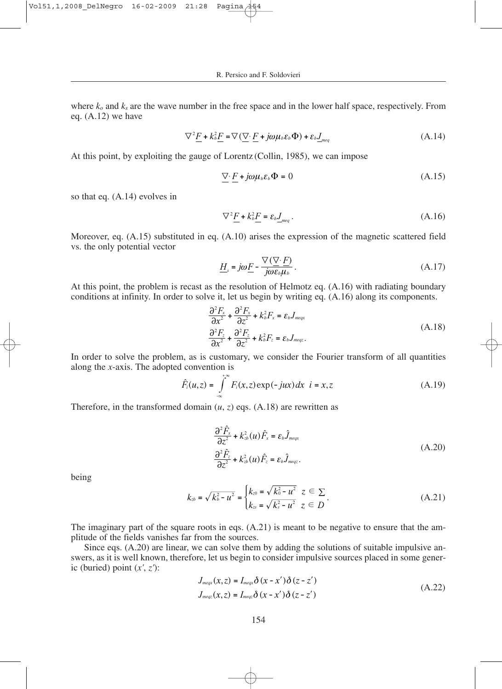where *ko* and *ks* are the wave number in the free space and in the lower half space, respectively. From eq. (A.12) we have

$$
\nabla^2 \underline{F} + k_b^2 \underline{F} = \nabla (\underline{\nabla} \cdot \underline{F} + j\omega \mu_b \varepsilon_b \Phi) + \varepsilon_b \underline{J}_{\text{meq}} \tag{A.14}
$$

At this point, by exploiting the gauge of Lorentz (Collin, 1985), we can impose

$$
\nabla \cdot \underline{F} + j\omega \mu_{b} \varepsilon_{b} \Phi = 0 \tag{A.15}
$$

so that eq. (A.14) evolves in

$$
\nabla^2 \underline{F} + k_b^2 \underline{F} = \varepsilon_b \underline{J}_{\text{meq}} \,. \tag{A.16}
$$

Moreover, eq. (A.15) substituted in eq. (A.10) arises the expression of the magnetic scattered field vs. the only potential vector

$$
\underline{H}_{s} = j\omega \underline{F} - \frac{\nabla(\nabla \cdot \underline{F})}{j\omega \varepsilon_{b}\mu_{b}}.
$$
\n(A.17)

At this point, the problem is recast as the resolution of Helmotz eq. (A.16) with radiating boundary conditions at infinity. In order to solve it, let us begin by writing eq. (A.16) along its components.

$$
\frac{\partial^2 F_x}{\partial x^2} + \frac{\partial^2 F_x}{\partial z^2} + k_b^2 F_x = \varepsilon_b J_{\text{meqx}}
$$
\n
$$
\frac{\partial^2 F_z}{\partial x^2} + \frac{\partial^2 F_z}{\partial z^2} + k_b^2 F_z = \varepsilon_b J_{\text{meqx}}.
$$
\n(A.18)

In order to solve the problem, as is customary, we consider the Fourier transform of all quantities along the *x*-axis. The adopted convention is

$$
\hat{F}_i(u,z) = \int_{-\infty}^{+\infty} F_i(x,z) \exp(-jux) dx \quad i = x, z \tag{A.19}
$$

Therefore, in the transformed domain  $(u, z)$  eqs.  $(A.18)$  are rewritten as

$$
\frac{\partial^2 \hat{F}_x}{\partial z^2} + k_{zb}^2(u)\hat{F}_x = \varepsilon_b \hat{J}_{\text{meqs}} \n\frac{\partial^2 \hat{F}_z}{\partial z^2} + k_{zb}^2(u)\hat{F}_z = \varepsilon_b \hat{J}_{\text{meqs}}.
$$
\n(A.20)

being

$$
k_{\omega} = \sqrt{k_{\omega}^2 - u^2} = \begin{cases} k_{z0} = \sqrt{k_0^2 - u^2} & z \in \Sigma \\ k_{zs} = \sqrt{k_s^2 - u^2} & z \in D \end{cases} \tag{A.21}
$$

The imaginary part of the square roots in eqs.  $(A.21)$  is meant to be negative to ensure that the amplitude of the fields vanishes far from the sources.

Since eqs. (A.20) are linear, we can solve them by adding the solutions of suitable impulsive answers, as it is well known, therefore, let us begin to consider impulsive sources placed in some generic (buried) point (*x'*, *z'*):

$$
J_{\text{meqx}}(x, z) = I_{\text{meqx}} \delta(x - x') \delta(z - z')
$$
  
\n
$$
J_{\text{meqx}}(x, z) = I_{\text{meqx}} \delta(x - x') \delta(z - z')
$$
\n(A.22)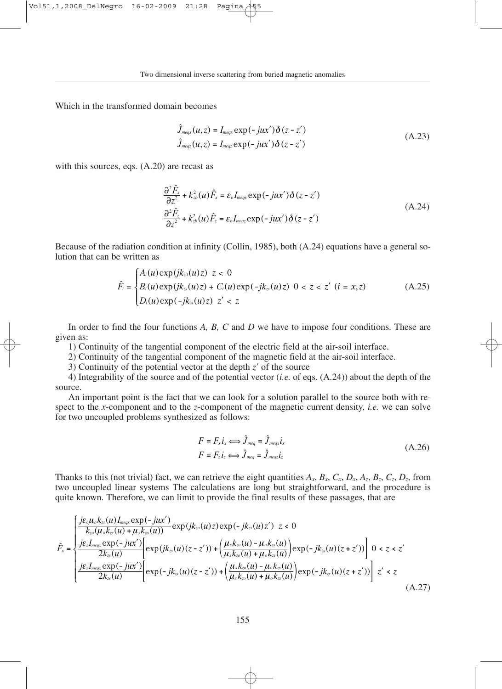Which in the transformed domain becomes

$$
\hat{J}_{\text{meqx}}(u, z) = I_{\text{meqx}} \exp(-jux') \delta(z - z')
$$
\n
$$
\hat{J}_{\text{meqx}}(u, z) = I_{\text{meqx}} \exp(-jux') \delta(z - z')
$$
\n(A.23)

with this sources, eqs.  $(A.20)$  are recast as

$$
\frac{\partial^2 \hat{F}_x}{\partial z^2} + k_{\omega}^2(u)\hat{F}_x = \varepsilon_b I_{\text{meqx}} \exp(-jux')\delta(z - z')
$$
\n
$$
\frac{\partial^2 \hat{F}_z}{\partial z^2} + k_{\omega}^2(u)\hat{F}_z = \varepsilon_b I_{\text{meqx}} \exp(-jux')\delta(z - z')
$$
\n(A.24)

Because of the radiation condition at infinity (Collin, 1985), both (A.24) equations have a general solution that can be written as

$$
\hat{F}_i = \begin{cases}\nA_i(u) \exp(jk_{z0}(u)z) & z < 0 \\
B_i(u) \exp(jk_{zs}(u)z) + C_i(u) \exp(-jk_{zs}(u)z) & 0 < z < z' \ (i = x, z) \\
D_i(u) \exp(-jk_{zs}(u)z) & z' < z\n\end{cases}
$$
\n(A.25)

In order to find the four functions *A, B, C* and *D* we have to impose four conditions. These are given as:

1) Continuity of the tangential component of the electric field at the air-soil interface.

2) Continuity of the tangential component of the magnetic field at the air-soil interface.

3) Continuity of the potential vector at the depth  $z'$  of the source

4) Integrability of the source and of the potential vector (*i.e.* of eqs. (A.24)) about the depth of the source.

An important point is the fact that we can look for a solution parallel to the source both with respect to the *x*-component and to the *z*-component of the magnetic current density, *i.e.* we can solve for two uncoupled problems synthesized as follows:

$$
F = F_x i_x \Longleftrightarrow \hat{J}_{\text{meq}} = \hat{J}_{\text{meq}} i_x
$$
  
\n
$$
F = F_z i_z \Longleftrightarrow \hat{J}_{\text{meq}} = \hat{J}_{\text{meq}} i_z
$$
\n(A.26)

Thanks to this (not trivial) fact, we can retrieve the eight quantities  $A_x$ ,  $B_x$ ,  $C_x$ ,  $D_x$ ,  $A_z$ ,  $B_z$ ,  $C_z$ ,  $D_z$ , from two uncoupled linear systems The calculations are long but straightforward, and the procedure is quite known. Therefore, we can limit to provide the final results of these passages, that are

$$
\hat{F}_{x} = \begin{cases}\n\frac{j\epsilon_{o}\mu_{o}k_{\infty}(u)I_{\text{meqs}}\exp(-jux')}{k_{\infty}(\mu_{o}k_{\infty}(u)+\mu_{s}k_{\infty}(u))}\exp(jk_{\infty}(u)z)\exp(-jk_{\infty}(u)z') & z < 0 \\
\frac{j\epsilon_{s}I_{\text{meqs}}\exp(-jux')}{2k_{\infty}(u)}\left[\exp(jk_{\infty}(u)(z-z')) + \left(\frac{\mu_{s}k_{\infty}(u)-\mu_{o}k_{\infty}(u)}{\mu_{s}k_{\infty}(u)+\mu_{o}k_{\infty}(u)}\right)\exp(-jk_{\infty}(u)(z+z'))\right] & 0 < z < z' \\
\frac{j\epsilon_{s}I_{\text{meqs}}\exp(-jux')}{2k_{\infty}(u)}\left[\exp(-jk_{\infty}(u)(z-z')) + \left(\frac{\mu_{s}k_{\infty}(u)-\mu_{o}k_{\infty}(u)}{\mu_{s}k_{\infty}(u)+\mu_{o}k_{\infty}(u)}\right)\exp(-jk_{\infty}(u)(z+z'))\right] & z' < z\n\end{cases} \tag{A.27}
$$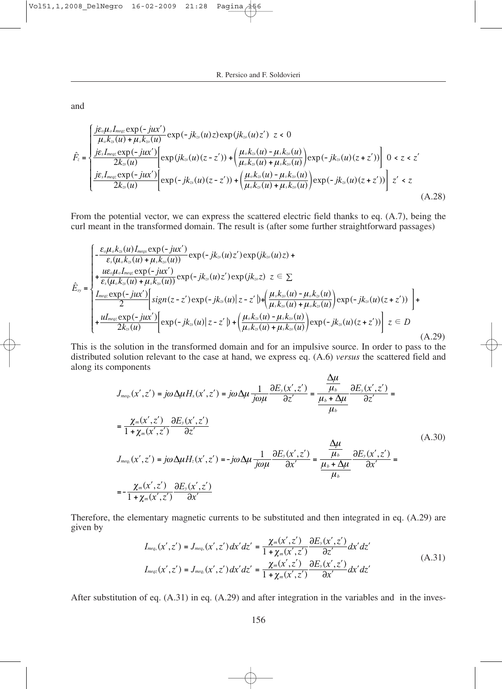and

$$
\hat{F}_{z} = \begin{cases}\n\frac{j\varepsilon_{o}\mu_{o}I_{\text{meqs}}\exp(-jux')}{\mu_{o}k_{z}(u)+\mu_{s}k_{z}(u)}\exp(-jk_{z}(u)z)\exp(jk_{z}(u)z') & z < 0 \\
\frac{j\varepsilon_{s}I_{\text{meqs}}\exp(-jux')}{2k_{z}(u)}\left[\exp(jk_{z}(u)(z-z')) + \left(\frac{\mu_{o}k_{z}(u)-\mu_{s}k_{z}(u)}{\mu_{o}k_{z}(u)+\mu_{s}k_{z}(u)}\right)\exp(-jk_{z}(u)(z+z'))\right] & 0 < z < z' \\
\frac{j\varepsilon_{s}I_{\text{meqs}}\exp(-jux')}{2k_{z}(u)}\left[\exp(-jk_{z}(u)(z-z')) + \left(\frac{\mu_{o}k_{z}(u)-\mu_{s}k_{z}(u)}{\mu_{o}k_{z}(u)+\mu_{s}k_{z}(u)}\right)\exp(-jk_{z}(u)(z+z'))\right] & z' < z\n\end{cases} \tag{A.28}
$$

From the potential vector, we can express the scattered electric field thanks to eq. (A.7), being the curl meant in the transformed domain. The result is (after some further straightforward passages)

$$
\hat{E}_{xy} = \begin{cases}\n-\frac{\varepsilon_{o}\mu_{o}k_{zs}(u)I_{meqx}\exp(-jux')}{\varepsilon_{s}(\mu_{o}k_{zs}(u)+\mu_{s}k_{zo}(u))}\exp(-jk_{zs}(u)z')\exp(jk_{zo}(u)z) + \\
+\frac{ue_{o}\mu_{o}I_{meqx}\exp(-jux')}{\varepsilon_{s}(\mu_{o}k_{zs}(u)+\mu_{s}k_{zo}(u))}\exp(-jk_{zs}(u)z')\exp(jk_{zo}z) & z \in \sum\n\end{cases}
$$
\n
$$
\frac{I_{meqx}\exp(-jux')}{2}\left[sign(z-z')\exp(-jk_{zs}(u)|z-z')\right] + \frac{\mu_{s}k_{zo}(u)-\mu_{o}k_{zs}(u)}{\mu_{s}k_{zo}(u)+\mu_{o}k_{zs}(u)}\exp(-jk_{zs}(u)(z+z'))\right] + \frac{uI_{meqx}\exp(-jux')}{2k_{zs}(u)}\left[\exp(-jk_{zs}(u)|z-z')\right] + \left(\frac{\mu_{o}k_{zs}(u)-\mu_{s}k_{zo}(u)}{\mu_{o}k_{zs}(u)+\mu_{s}k_{zo}(u)}\right)\exp(-jk_{zs}(u)(z+z'))\right]z \in D
$$
\n(A.29)

This is the solution in the transformed domain and for an impulsive source. In order to pass to the distributed solution relevant to the case at hand, we express eq. (A.6) *versus* the scattered field and along its components

$$
J_{\text{meq}_x}(x',z') = j\omega \Delta \mu H_x(x',z') = j\omega \Delta \mu \frac{1}{j\omega\mu} \frac{\partial E_y(x',z')}{\partial z'} = \frac{\frac{\Delta \mu}{\mu_b}}{\frac{\mu_b + \Delta \mu}{\omega}} \frac{\partial E_y(x',z')}{\partial z'} =
$$
  
\n
$$
= \frac{\chi_m(x',z')}{1 + \chi_m(x',z')} \frac{\partial E_y(x',z')}{\partial z'}
$$
  
\n
$$
J_{\text{meq}_x}(x',z') = j\omega \Delta \mu H_z(x',z') = -j\omega \Delta \mu \frac{1}{j\omega\mu} \frac{\partial E_y(x',z')}{\partial x'} = \frac{\frac{\Delta \mu}{\mu_b}}{\frac{\mu_b + \Delta \mu}{\omega}} \frac{\partial E_y(x',z')}{\partial x'} =
$$
  
\n
$$
= -\frac{\chi_m(x',z')}{1 + \chi_m(x',z')} \frac{\partial E_y(x',z')}{\partial x'}
$$
 (A.30)

Therefore, the elementary magnetic currents to be substituted and then integrated in eq. (A.29) are given by

$$
I_{\text{meq},x}(x',z') = J_{\text{meq},x}(x',z')dx'dz' = \frac{\chi_{\text{m}}(x',z')}{1 + \chi_{\text{m}}(x',z')} \frac{\partial E_y(x',z')}{\partial z'} dx'dz'
$$
\n
$$
I_{\text{meq},x}(x',z') = J_{\text{meq},x}(x',z')dx'dz' = \frac{\chi_{\text{m}}(x',z')}{1 + \chi_{\text{m}}(x',z')} \frac{\partial E_y(x',z')}{\partial x'} dx'dz'
$$
\n(A.31)

After substitution of eq. (A.31) in eq. (A.29) and after integration in the variables and in the inves-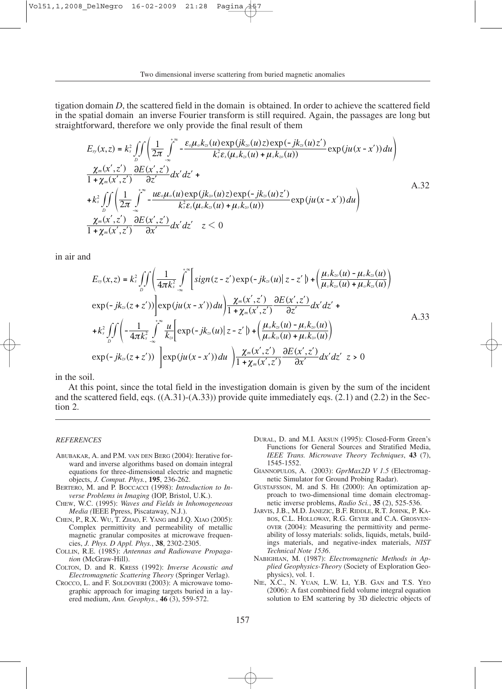tigation domain *D*, the scattered field in the domain is obtained. In order to achieve the scattered field in the spatial domain an inverse Fourier transform is still required. Again, the passages are long but straightforward, therefore we only provide the final result of them

$$
E_{\mathcal{F}}(x,z) = k_s^2 \iint_{D} \left( \frac{1}{2\pi} \int_{0}^{\infty} -\frac{\varepsilon_{o}\mu_{o}k_{\mathcal{F}}(u)\exp(jk_{\mathcal{F}}(u)z)\exp(-jk_{\mathcal{F}}(u)z')}{k_s^2 \varepsilon_{s}(\mu_{o}k_{\mathcal{F}}(u) + \mu_{s}k_{\mathcal{F}}(u))} \exp(ju(x-x'))du \right) \frac{\chi_{m}(x',z')}{1+\chi_{m}(x',z')} \frac{\partial E(x',z')}{\partial z'} dx' dz' +
$$
\n
$$
+k_s^2 \iint_{0} \left( \frac{1}{2\pi} \int_{0}^{\infty} -\frac{ue_{o}\mu_{o}(u)\exp(jk_{\mathcal{F}}(u)z)\exp(-jk_{\mathcal{F}}(u)z')}{k_s^2 \varepsilon_{s}(\mu_{o}k_{\mathcal{F}}(u) + \mu_{s}k_{\mathcal{F}}(u))} \exp(ju(x-x'))du \right) \frac{\chi_{m}(x',z')}{1+\chi_{m}(x',z')} \frac{\partial E(x',z')}{\partial x'} dx' dz' z < 0
$$
\n(A.32)

in air and

$$
E_{\text{sy}}(x,z) = k_s^2 \iint_D \left( \frac{1}{4\pi k_s^2} \int_{-\infty}^{+\infty} \left[ sign(z-z') \exp(-jk_{\text{cs}}(u)) \left( z-z' \right) + \left( \frac{\mu_s k_{\text{cs}}(u) - \mu_o k_{\text{cs}}(u)}{\mu_s k_{\text{cs}}(u) + \mu_o k_{\text{cs}}(u)} \right) \right] \exp(-jk_{\text{cs}}(z+z')) \right] \exp(ju(x-x')) du \right) \frac{\chi_m(x',z')}{1 + \chi_m(x',z')} \frac{\partial E(x',z')}{\partial z'} dx' dz' +
$$
  
+ 
$$
k_s^2 \iint_C \left( -\frac{1}{4\pi k_s^2} \int_{-\infty}^{+\infty} \frac{u}{k_{\text{cs}}} \left[ exp(-jk_{\text{cs}}(u)) \left( z-z' \right) + \left( \frac{\mu_o k_{\text{cs}}(u) - \mu_s k_{\text{cs}}(u)}{\mu_o k_{\text{cs}}(u) + \mu_s k_{\text{cs}}(u)} \right) \right] \exp(-jk_{\text{cs}}(z+z')) \right] \exp(ju(x-x')) du \left. \int_{1 + \chi_m(x',z')} \frac{\partial E(x',z')}{\partial x'} dx' dz' z > 0
$$

in the soil.

At this point, since the total field in the investigation domain is given by the sum of the incident and the scattered field, eqs.  $((A.31)-(A.33))$  provide quite immediately eqs.  $(2.1)$  and  $(2.2)$  in the Section 2.

#### *REFERENCES*

- ABUBAKAR, A. and P.M. VAN DEN BERG (2004): Iterative forward and inverse algorithms based on domain integral equations for three-dimensional electric and magnetic objects, *J. Comput. Phys.*, **195**, 236-262.
- BERTERO, M. and P. BOCCACCI (1998): *Introduction to Inverse Problems in Imaging* (IOP, Bristol, U.K.).
- CHEW, W.C. (1995): *Waves and Fields in Inhomogeneous Media (*IEEE Ppress, Piscataway, N.J.).
- CHEN, P., R.X. WU, T. ZHAO, F. YANG and J.Q. XIAO (2005): Complex permittivity and permeability of metallic magnetic granular composites at microwave frequencies, *J. Phys. D Appl. Phys.*, **38**, 2302-2305.
- COLLIN, R.E. (1985): *Antennas and Radiowave Propagation* (McGraw-Hill).
- COLTON, D. and R. KRESS (1992): *Inverse Acoustic and Electromagnetic Scattering Theory* (Springer Verlag).
- CROCCO, L. and F. SOLDOVIERI (2003): A microwave tomographic approach for imaging targets buried in a layered medium, *Ann. Geophys.*, **46** (3), 559-572.
- DURAL, D. and M.I. AKSUN (1995): Closed-Form Green's Functions for General Sources and Stratified Media, *IEEE Trans. Microwave Theory Techniques*, **43** (7), 1545-1552.
- GIANNOPULOS, A. (2003): *GprMax2D V 1.5* (Electromagnetic Simulator for Ground Probing Radar).
- GUSTAFSSON, M. and S. HE (2000): An optimization approach to two-dimensional time domain electromagnetic inverse problems, *Radio Sci.*, **35** (2), 525-536.
- JARVIS, J.B., M.D. JANEZIC, B.F. RIDDLE, R.T. JOHNK, P. KA-BOS, C.L. HOLLOWAY, R.G. GEYER and C.A. GROSVEN-OVER (2004): Measuring the permittivity and permeability of lossy materials: solids, liquids, metals, buildings materials, and negative-index materials, *NIST Technical Note 1536*.
- NABIGHIAN, M. (1987): *Electromagnetic Methods in Applied Geophysics-Theory* (Society of Exploration Geophysics), vol. 1.
- NIE, X.C., N. YUAN*,* L.W. LI, Y.B. GAN and T.S. YEO (2006): A fast combined field volume integral equation solution to EM scattering by 3D dielectric objects of